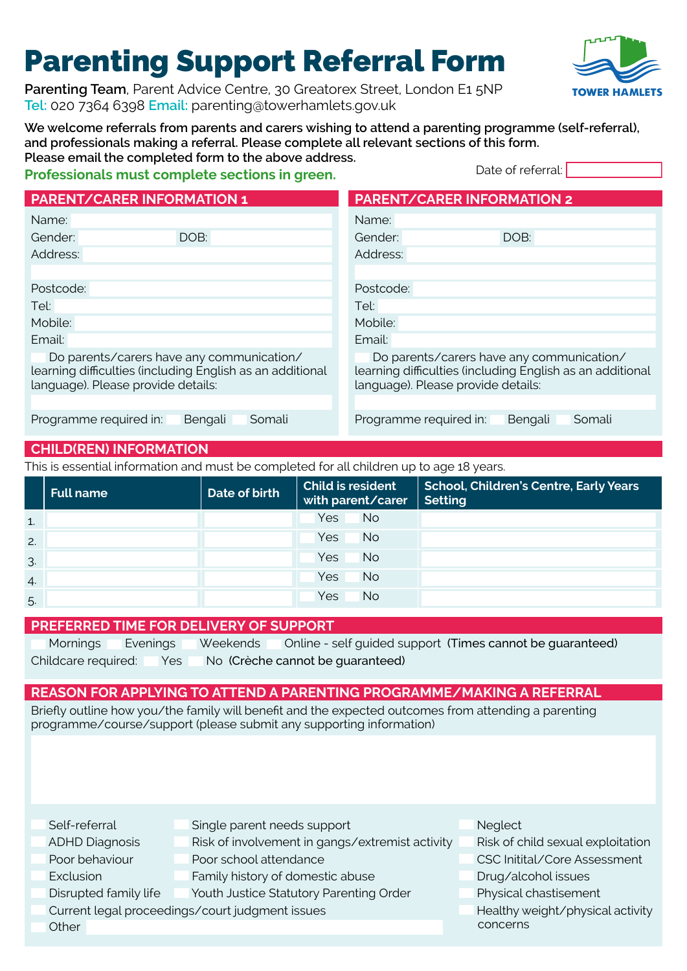# Parenting Support Referral Form

Parenting Team, Parent Advice Centre, 30 Greatorex Street, London E1 5NP **Tel:** 020 7364 6398 **Email:** [parenting@towerhamlets.gov.uk](mailto:parenting@towerhamlets.gov.uk)



**We welcome referrals from parents and carers wishing to attend a parenting programme (self-referral), and professionals making a referral. Please complete all relevant sections of this form. Please email the completed form to the above address.**

#### **Professionals must complete sections in green.**

Date of referral:

| <b>PARENT/CARER INFORMATION 1</b>                                                                                                            | <b>PARENT/CARER INFORMATION 2</b>                                                                                                            |
|----------------------------------------------------------------------------------------------------------------------------------------------|----------------------------------------------------------------------------------------------------------------------------------------------|
| Name:                                                                                                                                        | Name:                                                                                                                                        |
| DOB:<br>Gender:                                                                                                                              | DOB:<br>Gender:                                                                                                                              |
| Address:                                                                                                                                     | Address:                                                                                                                                     |
|                                                                                                                                              |                                                                                                                                              |
| Postcode:                                                                                                                                    | Postcode:                                                                                                                                    |
| Tel:                                                                                                                                         | Tel:                                                                                                                                         |
| Mobile:                                                                                                                                      | Mobile:                                                                                                                                      |
| Email:                                                                                                                                       | Email:                                                                                                                                       |
| Do parents/carers have any communication/<br>learning difficulties (including English as an additional<br>language). Please provide details: | Do parents/carers have any communication/<br>learning difficulties (including English as an additional<br>language). Please provide details: |
| Programme required in:<br>Bengali<br>Somali                                                                                                  | Programme required in:<br>Somali<br>Bengali                                                                                                  |

### **CHILD(REN) INFORMATION**

This is essential information and must be completed for all children up to age 18 years.

|                  | <b>Full name</b> | Date of birth | Child is resident<br>with parent/carer | <b>School, Children's Centre, Early Years</b><br><b>Setting</b> |
|------------------|------------------|---------------|----------------------------------------|-----------------------------------------------------------------|
| 1.               |                  |               | <b>No</b><br>Yes                       |                                                                 |
| 2.               |                  |               | <b>No</b><br>Yes                       |                                                                 |
| 3.               |                  |               | <b>No</b><br>Yes:                      |                                                                 |
| $\overline{4}$ . |                  |               | <b>No</b><br>Yes:                      |                                                                 |
| 5.               |                  |               | <b>No</b><br>Yes:                      |                                                                 |

#### **PREFERRED TIME FOR DELIVERY OF SUPPORT**

| Mornings Evenings Weekends |  |                                                          | Online - self guided support (Times cannot be guaranteed) |
|----------------------------|--|----------------------------------------------------------|-----------------------------------------------------------|
|                            |  | Childcare required: Yes No (Crèche cannot be guaranteed) |                                                           |

#### **REASON FOR APPLYING TO ATTEND A PARENTING PROGRAMME/MAKING A REFERRAL**

Briefly outline how you/the family will benefit and the expected outcomes from attending a parenting programme/course/support (please submit any supporting information)

| Self-referral         | Single parent needs support                     | Neglect                           |
|-----------------------|-------------------------------------------------|-----------------------------------|
| <b>ADHD Diagnosis</b> | Risk of involvement in gangs/extremist activity | Risk of child sexual exploitation |
| Poor behaviour        | Poor school attendance                          | CSC Initital/Core Assessment      |
| Exclusion             | Family history of domestic abuse                | Drug/alcohol issues               |
| Disrupted family life | Youth Justice Statutory Parenting Order         | Physical chastisement             |
|                       | Current legal proceedings/court judgment issues | Healthy weight/physical activity  |
| Other                 |                                                 | concerns                          |
|                       |                                                 |                                   |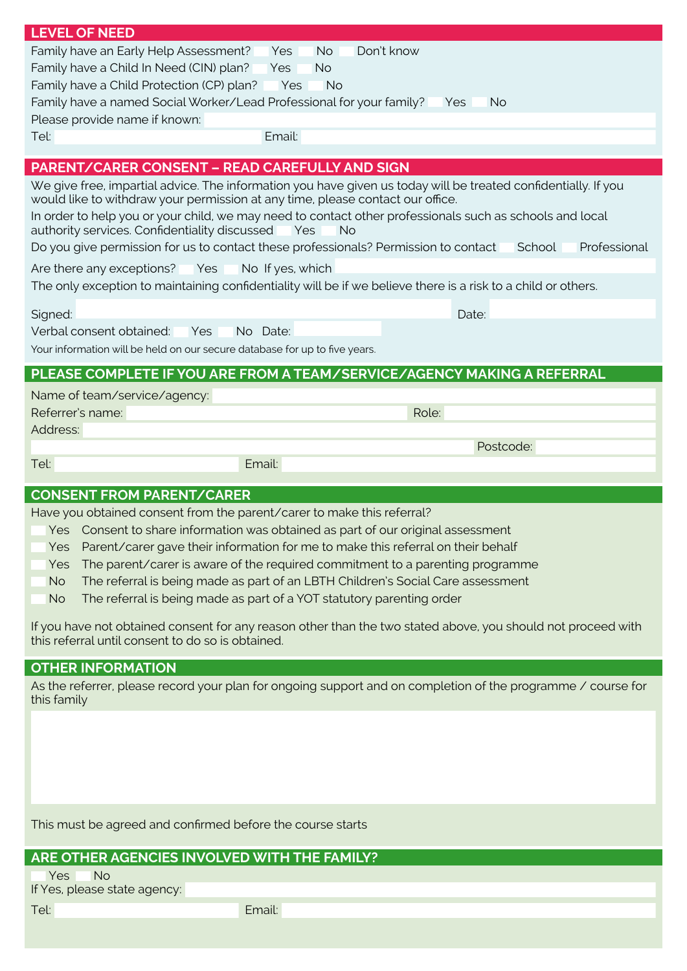| <b>LEVEL OF NEED</b>                                                                                                                                                                                                                                                                                  |
|-------------------------------------------------------------------------------------------------------------------------------------------------------------------------------------------------------------------------------------------------------------------------------------------------------|
| Family have an Early Help Assessment?<br>Don't know<br>No.<br>Yes                                                                                                                                                                                                                                     |
| Family have a Child In Need (CIN) plan?<br><b>No</b><br>Yes                                                                                                                                                                                                                                           |
| Family have a Child Protection (CP) plan?<br><b>Yes</b><br><b>No</b>                                                                                                                                                                                                                                  |
| Family have a named Social Worker/Lead Professional for your family?<br><b>No</b><br>Yes:                                                                                                                                                                                                             |
| Please provide name if known:                                                                                                                                                                                                                                                                         |
| Email:<br>Tel:                                                                                                                                                                                                                                                                                        |
| <b>PARENT/CARER CONSENT - READ CAREFULLY AND SIGN</b>                                                                                                                                                                                                                                                 |
| We give free, impartial advice. The information you have given us today will be treated confidentially. If you<br>would like to withdraw your permission at any time, please contact our office.                                                                                                      |
| In order to help you or your child, we may need to contact other professionals such as schools and local<br>authority services. Confidentiality discussed<br><b>Yes</b><br><b>No</b><br>Do you give permission for us to contact these professionals? Permission to contact<br>School<br>Professional |
|                                                                                                                                                                                                                                                                                                       |
| Are there any exceptions? Yes<br>No If yes, which<br>The only exception to maintaining confidentiality will be if we believe there is a risk to a child or others.                                                                                                                                    |
| Date:<br>Signed:                                                                                                                                                                                                                                                                                      |
| Verbal consent obtained:<br>No Date:<br>Yes                                                                                                                                                                                                                                                           |
| Your information will be held on our secure database for up to five years.                                                                                                                                                                                                                            |
| PLEASE COMPLETE IF YOU ARE FROM A TEAM/SERVICE/AGENCY MAKING A REFERRAL                                                                                                                                                                                                                               |
| Name of team/service/agency:                                                                                                                                                                                                                                                                          |
| Referrer's name:<br>Role:                                                                                                                                                                                                                                                                             |
|                                                                                                                                                                                                                                                                                                       |
|                                                                                                                                                                                                                                                                                                       |
| Address:<br>Postcode:                                                                                                                                                                                                                                                                                 |
| Tel:<br>Email:                                                                                                                                                                                                                                                                                        |
|                                                                                                                                                                                                                                                                                                       |
| <b>CONSENT FROM PARENT/CARER</b>                                                                                                                                                                                                                                                                      |
| Have you obtained consent from the parent/carer to make this referral?                                                                                                                                                                                                                                |
| Yes Consent to share information was obtained as part of our original assessment                                                                                                                                                                                                                      |
| Parent/carer gave their information for me to make this referral on their behalf<br>Yes                                                                                                                                                                                                               |
| The parent/carer is aware of the required commitment to a parenting programme<br>Yes                                                                                                                                                                                                                  |
| The referral is being made as part of an LBTH Children's Social Care assessment<br><b>No</b>                                                                                                                                                                                                          |
| The referral is being made as part of a YOT statutory parenting order<br><b>No</b>                                                                                                                                                                                                                    |
| If you have not obtained consent for any reason other than the two stated above, you should not proceed with<br>this referral until consent to do so is obtained.                                                                                                                                     |
| <b>OTHER INFORMATION</b>                                                                                                                                                                                                                                                                              |
| As the referrer, please record your plan for ongoing support and on completion of the programme / course for<br>this family                                                                                                                                                                           |
|                                                                                                                                                                                                                                                                                                       |
|                                                                                                                                                                                                                                                                                                       |
|                                                                                                                                                                                                                                                                                                       |
|                                                                                                                                                                                                                                                                                                       |
|                                                                                                                                                                                                                                                                                                       |
|                                                                                                                                                                                                                                                                                                       |
| This must be agreed and confirmed before the course starts                                                                                                                                                                                                                                            |

| ARE OTHER AGENCIES INVOLVED WITH THE FAMILY? |
|----------------------------------------------|
|----------------------------------------------|

Yes No

If Yes, please state agency:

Tel: Email: Email: Email: Email: Email: Email: Email: Email: Email: Email: Email: Email: Email: Email: Email: Email: Email: Email: Email: Email: Email: Email: Email: Email: Email: Email: Email: Email: Email: Email: Email: